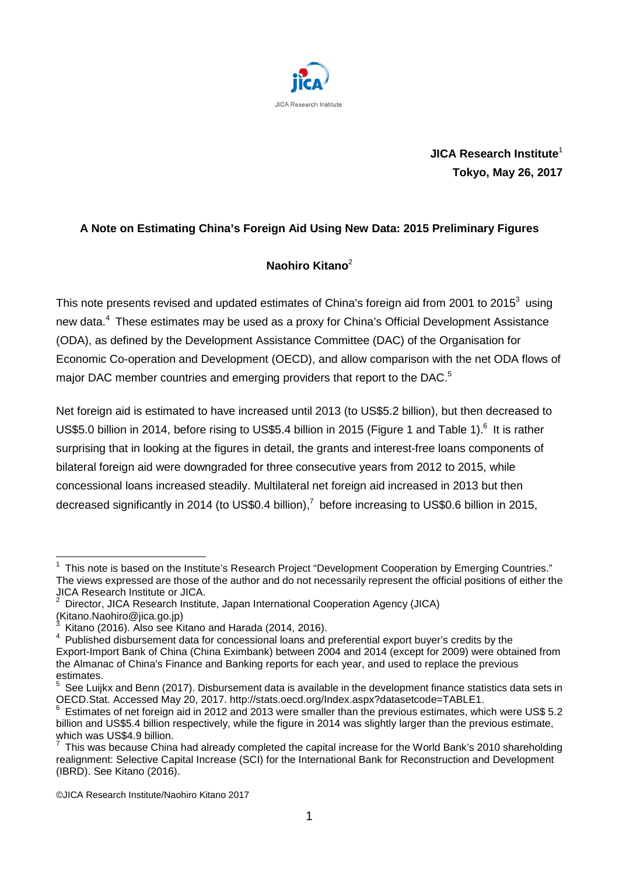

**JICA Research Institute**<sup>1</sup> **Tokyo, May 26, 2017**

## **A Note on Estimating China's Foreign Aid Using New Data: 2015 Preliminary Figures**

## **Naohiro Kitano**<sup>2</sup>

This note presents revised and updated estimates of China's foreign aid from 2001 to 2015<sup>3</sup> using new data.<sup>4</sup> These estimates may be used as a proxy for China's Official Development Assistance (ODA), as defined by the Development Assistance Committee (DAC) of the Organisation for Economic Co-operation and Development (OECD), and allow comparison with the net ODA flows of major DAC member countries and emerging providers that report to the DAC.<sup>5</sup>

Net foreign aid is estimated to have increased until 2013 (to US\$5.2 billion), but then decreased to US\$5.0 billion in 2014, before rising to US\$5.4 billion in 2015 (Figure 1 and Table 1).<sup>6</sup> It is rather surprising that in looking at the figures in detail, the grants and interest-free loans components of bilateral foreign aid were downgraded for three consecutive years from 2012 to 2015, while concessional loans increased steadily. Multilateral net foreign aid increased in 2013 but then decreased significantly in 2014 (to US\$0.4 billion),<sup>7</sup> before increasing to US\$0.6 billion in 2015,

 <sup>1</sup> This note is based on the Institute's Research Project "Development Cooperation by Emerging Countries." The views expressed are those of the author and do not necessarily represent the official positions of either the JICA Research Institute or JICA.

<sup>2</sup> Director, JICA Research Institute, Japan International Cooperation Agency (JICA)

<sup>(</sup>Kitano.Naohiro@jica.go.jp)<br><sup>3</sup> Kitano (2016). Also see Kitano and Harada (2014, 2016).

<sup>&</sup>lt;sup>4</sup> Published disbursement data for concessional loans and preferential export buyer's credits by the Export-Import Bank of China (China Eximbank) between 2004 and 2014 (except for 2009) were obtained from the Almanac of China's Finance and Banking reports for each year, and used to replace the previous estimates.

 $5$  See Luijkx and Benn (2017). Disbursement data is available in the development finance statistics data sets in OECD.<br>OECD.Stat. Accessed May 20, 2017. http://stats.oecd.org/Index.aspx?datasetcode=TABLE1.

Estimates of net foreign aid in 2012 and 2013 were smaller than the previous estimates, which were US\$ 5.2 billion and US\$5.4 billion respectively, while the figure in 2014 was slightly larger than the previous estimate, which was US\$4.9 billion.

<sup>7</sup> This was because China had already completed the capital increase for the World Bank's 2010 shareholding realignment: Selective Capital Increase (SCI) for the International Bank for Reconstruction and Development (IBRD). See Kitano (2016).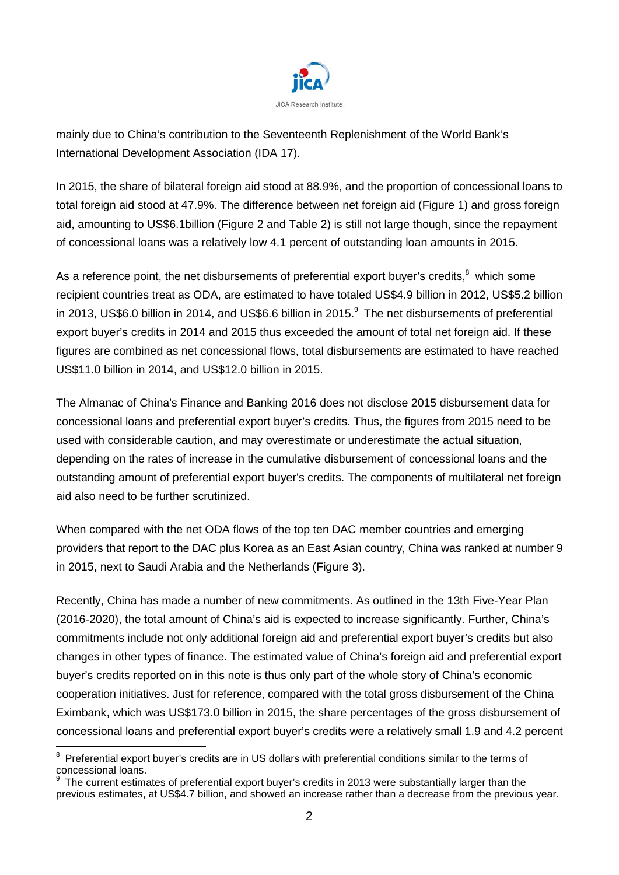

mainly due to China's contribution to the Seventeenth Replenishment of the World Bank's International Development Association (IDA 17).

In 2015, the share of bilateral foreign aid stood at 88.9%, and the proportion of concessional loans to total foreign aid stood at 47.9%. The difference between net foreign aid (Figure 1) and gross foreign aid, amounting to US\$6.1billion (Figure 2 and Table 2) is still not large though, since the repayment of concessional loans was a relatively low 4.1 percent of outstanding loan amounts in 2015.

As a reference point, the net disbursements of preferential export buyer's credits, $8\text{ which some}$ recipient countries treat as ODA, are estimated to have totaled US\$4.9 billion in 2012, US\$5.2 billion in 2013, US\$6.0 billion in 2014, and US\$6.6 billion in 2015.<sup>9</sup> The net disbursements of preferential export buyer's credits in 2014 and 2015 thus exceeded the amount of total net foreign aid. If these figures are combined as net concessional flows, total disbursements are estimated to have reached US\$11.0 billion in 2014, and US\$12.0 billion in 2015.

The Almanac of China's Finance and Banking 2016 does not disclose 2015 disbursement data for concessional loans and preferential export buyer's credits. Thus, the figures from 2015 need to be used with considerable caution, and may overestimate or underestimate the actual situation, depending on the rates of increase in the cumulative disbursement of concessional loans and the outstanding amount of preferential export buyer's credits. The components of multilateral net foreign aid also need to be further scrutinized.

When compared with the net ODA flows of the top ten DAC member countries and emerging providers that report to the DAC plus Korea as an East Asian country, China was ranked at number 9 in 2015, next to Saudi Arabia and the Netherlands (Figure 3).

Recently, China has made a number of new commitments. As outlined in the 13th Five-Year Plan (2016-2020), the total amount of China's aid is expected to increase significantly. Further, China's commitments include not only additional foreign aid and preferential export buyer's credits but also changes in other types of finance. The estimated value of China's foreign aid and preferential export buyer's credits reported on in this note is thus only part of the whole story of China's economic cooperation initiatives. Just for reference, compared with the total gross disbursement of the China Eximbank, which was US\$173.0 billion in 2015, the share percentages of the gross disbursement of concessional loans and preferential export buyer's credits were a relatively small 1.9 and 4.2 percent

 $8$  Preferential export buyer's credits are in US dollars with preferential conditions similar to the terms of concessional loans.

The current estimates of preferential export buyer's credits in 2013 were substantially larger than the previous estimates, at US\$4.7 billion, and showed an increase rather than a decrease from the previous year.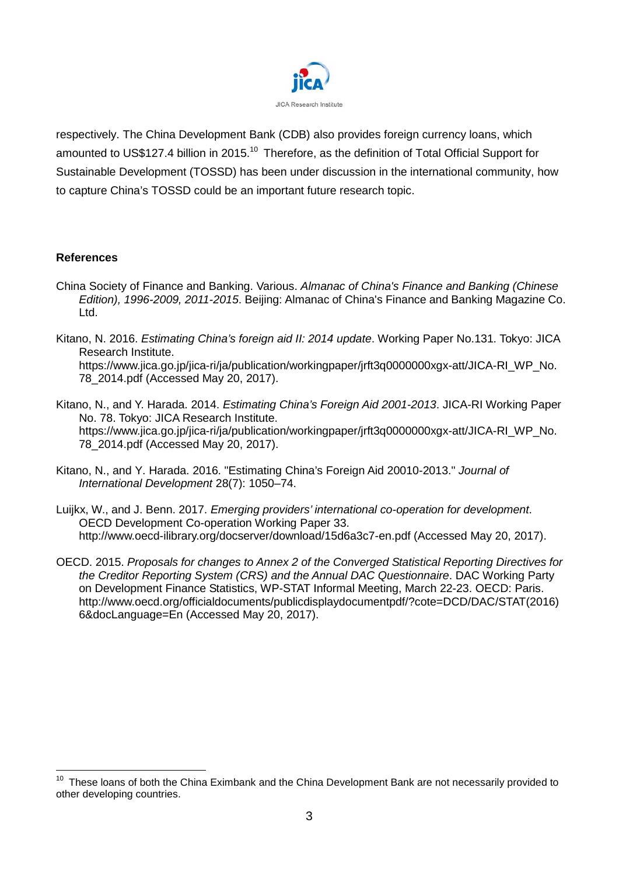

respectively. The China Development Bank (CDB) also provides foreign currency loans, which amounted to US\$127.4 billion in 2015.<sup>10</sup> Therefore, as the definition of Total Official Support for Sustainable Development (TOSSD) has been under discussion in the international community, how to capture China's TOSSD could be an important future research topic.

### **References**

- China Society of Finance and Banking. Various. *Almanac of China's Finance and Banking (Chinese Edition), 1996-2009, 2011-2015*. Beijing: Almanac of China's Finance and Banking Magazine Co. Ltd.
- Kitano, N. 2016. *Estimating China's foreign aid II: 2014 update*. Working Paper No.131. Tokyo: JICA Research Institute. [https://www.jica.go.jp/jica-ri/ja/publication/workingpaper/jrft3q0000000xgx-att/JICA-RI\\_WP\\_No.](https://www.jica.go.jp/jica-ri/ja/publication/workingpaper/jrft3q0000000xgx-att/JICA-RI_WP_No.78_2014.pdf) [78\\_2014.pdf](https://www.jica.go.jp/jica-ri/ja/publication/workingpaper/jrft3q0000000xgx-att/JICA-RI_WP_No.78_2014.pdf) (Accessed May 20, 2017).
- Kitano, N., and Y. Harada. 2014. *Estimating China's Foreign Aid 2001-2013*. JICA-RI Working Paper No. 78. Tokyo: JICA Research Institute. https://www.jica.go.jp/jica-ri/ja/publication/workingpaper/irft3q0000000xqx-att/JICA-RI\_WP\_No. 78\_2014.pdf (Accessed May 20, 2017).
- Kitano, N., and Y. Harada. 2016. "Estimating China's Foreign Aid 20010-2013." *Journal of International Development* 28(7): 1050–74.
- Luijkx, W., and J. Benn. 2017. *Emerging providers' international co-operation for development*. OECD Development Co-operation Working Paper 33. http://www.oecd-ilibrary.org/docserver/download/15d6a3c7-en.pdf (Accessed May 20, 2017).
- OECD. 2015. *Proposals for changes to Annex 2 of the Converged Statistical Reporting Directives for the Creditor Reporting System (CRS) and the Annual DAC Questionnaire*. DAC Working Party on Development Finance Statistics, WP-STAT Informal Meeting, March 22-23. OECD: Paris. [http://www.oecd.org/officialdocuments/publicdisplaydocumentpdf/?cote=DCD/DAC/STAT\(2016\)](http://www.oecd.org/officialdocuments/publicdisplaydocumentpdf/?cote=DCD/DAC/STAT(2016)6&docLanguage=En) [6&docLanguage=En](http://www.oecd.org/officialdocuments/publicdisplaydocumentpdf/?cote=DCD/DAC/STAT(2016)6&docLanguage=En) (Accessed May 20, 2017).

<sup>&</sup>lt;sup>10</sup> These loans of both the China Eximbank and the China Development Bank are not necessarily provided to other developing countries.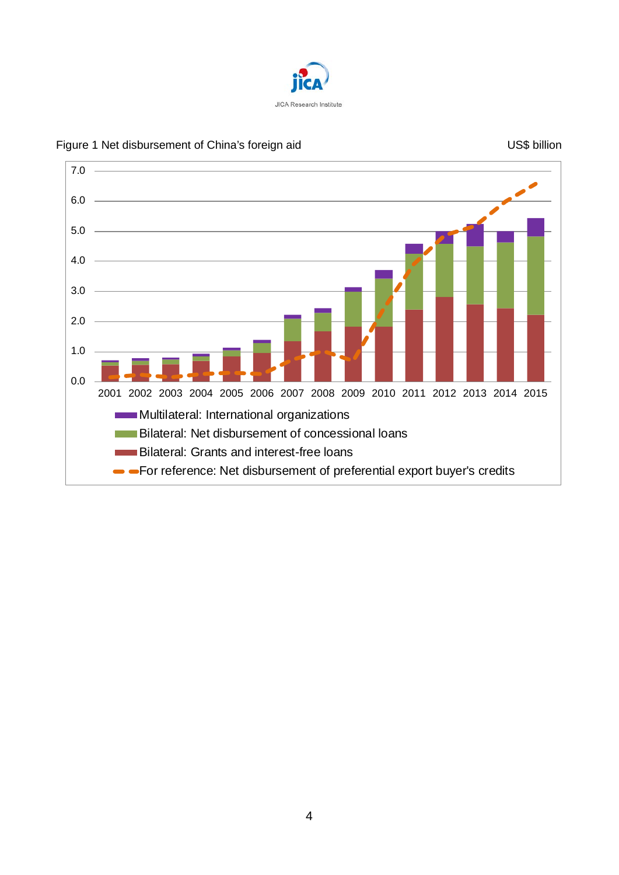



### Figure 1 Net disbursement of China's foreign aid US\$ billion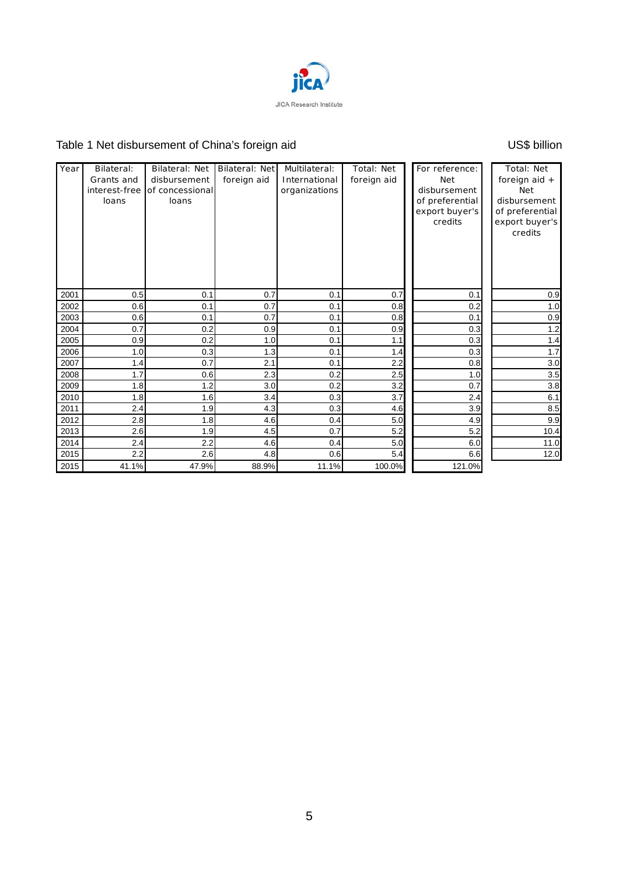

# Table 1 Net disbursement of China's foreign aid Vallet China's foreign aid VS\$ billion

| Year | Bilateral:<br>Grants and<br>interest-free<br>loans | <b>Bilateral: Net</b><br>disbursement<br>of concessional<br>loans | Bilateral: Net<br>foreign aid | Multilateral:<br>International<br>organizations | Total: Net<br>foreign aid | For reference:<br><b>Net</b><br>disbursement<br>of preferential<br>export buyer's<br>credits | Total: Net<br>foreign aid +<br><b>Net</b><br>disbursement<br>of preferential<br>export buyer's<br>credits |
|------|----------------------------------------------------|-------------------------------------------------------------------|-------------------------------|-------------------------------------------------|---------------------------|----------------------------------------------------------------------------------------------|-----------------------------------------------------------------------------------------------------------|
| 2001 | 0.5                                                | 0.1                                                               | 0.7                           | 0.1                                             | 0.7                       | 0.1                                                                                          | 0.9                                                                                                       |
| 2002 | 0.6                                                | 0.1                                                               | 0.7                           | 0.1                                             | 0.8                       | 0.2                                                                                          | 1.0                                                                                                       |
| 2003 | 0.6                                                | 0.1                                                               | 0.7                           | 0.1                                             | 0.8                       | 0.1                                                                                          | 0.9                                                                                                       |
| 2004 | 0.7                                                | 0.2                                                               | 0.9                           | 0.1                                             | 0.9                       | 0.3                                                                                          | 1.2                                                                                                       |
| 2005 | 0.9                                                | 0.2                                                               | 1.0                           | 0.1                                             | 1.1                       | 0.3                                                                                          | 1.4                                                                                                       |
| 2006 | 1.0                                                | 0.3                                                               | 1.3                           | 0.1                                             | 1.4                       | 0.3                                                                                          | 1.7                                                                                                       |
| 2007 | 1.4                                                | 0.7                                                               | 2.1                           | 0.1                                             | 2.2                       | 0.8                                                                                          | 3.0                                                                                                       |
| 2008 | 1.7                                                | 0.6                                                               | 2.3                           | 0.2                                             | 2.5                       | 1.0                                                                                          | 3.5                                                                                                       |
| 2009 | 1.8                                                | 1.2                                                               | 3.0                           | 0.2                                             | 3.2                       | 0.7                                                                                          | 3.8                                                                                                       |
| 2010 | 1.8                                                | 1.6                                                               | 3.4                           | 0.3                                             | 3.7                       | 2.4                                                                                          | 6.1                                                                                                       |
| 2011 | 2.4                                                | 1.9                                                               | 4.3                           | 0.3                                             | 4.6                       | 3.9                                                                                          | 8.5                                                                                                       |
| 2012 | 2.8                                                | 1.8                                                               | 4.6                           | 0.4                                             | 5.0                       | 4.9                                                                                          | 9.9                                                                                                       |
| 2013 | 2.6                                                | 1.9                                                               | 4.5                           | 0.7                                             | 5.2                       | 5.2                                                                                          | 10.4                                                                                                      |
| 2014 | 2.4                                                | 2.2                                                               | 4.6                           | 0.4                                             | 5.0                       | 6.0                                                                                          | 11.0                                                                                                      |
| 2015 | 2.2                                                | 2.6                                                               | 4.8                           | 0.6                                             | 5.4                       | 6.6                                                                                          | 12.0                                                                                                      |
| 2015 | 41.1%                                              | 47.9%                                                             | 88.9%                         | 11.1%                                           | 100.0%                    | 121.0%                                                                                       |                                                                                                           |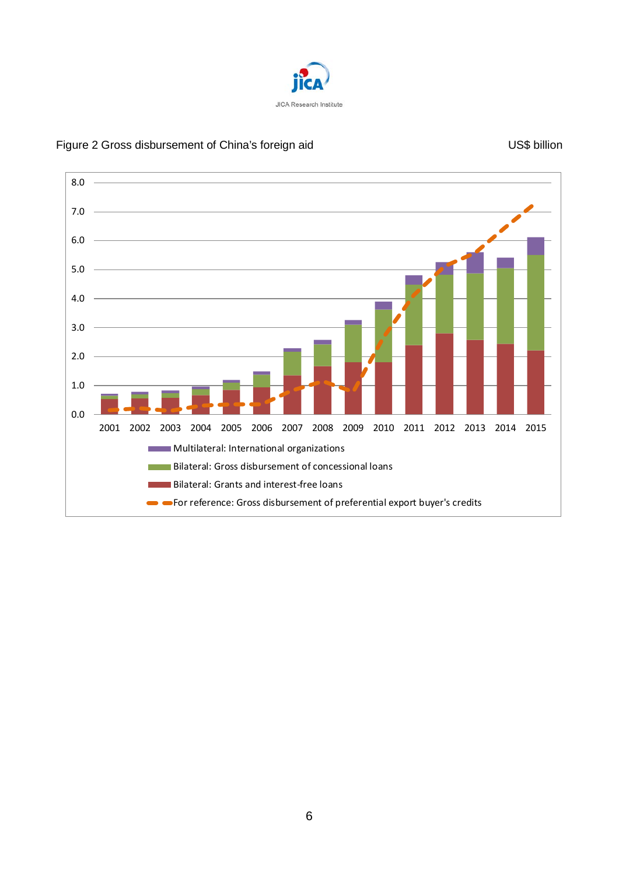

# Figure 2 Gross disbursement of China's foreign aid 
US\$ billion

US\$ billion

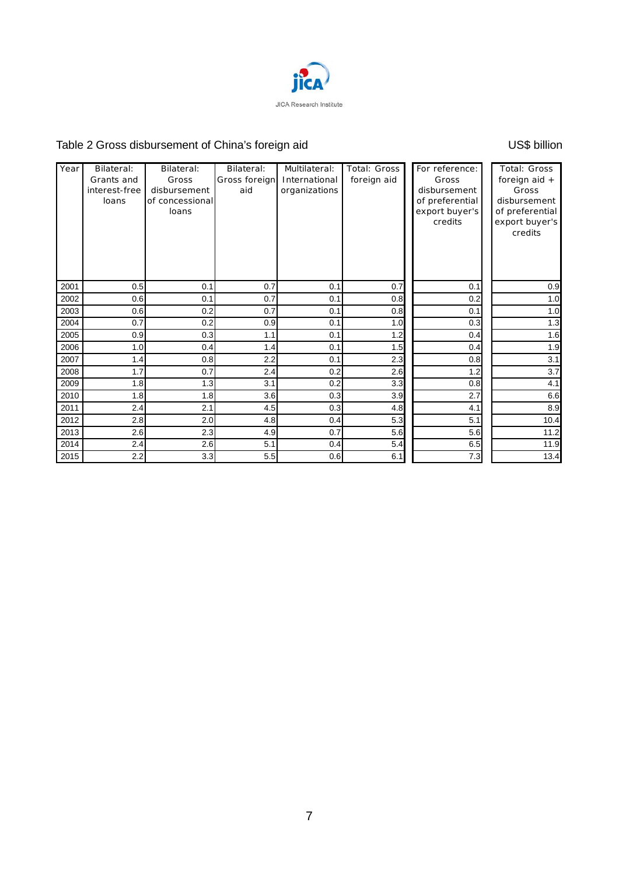

# Table 2 Gross disbursement of China's foreign aid VS\$ billion

| Year | Bilateral:<br>Grants and<br>interest-free<br>loans | Bilateral:<br>Gross<br>disbursement<br>of concessional<br>loans | Bilateral:<br>Gross foreign<br>aid | Multilateral:<br>International<br>organizations | Total: Gross<br>foreign aid | For reference:<br>Gross<br>disbursement<br>of preferential<br>export buyer's<br>credits | Total: Gross<br>foreign aid $+$<br>Gross<br>disbursement<br>of preferential<br>export buyer's<br>credits |
|------|----------------------------------------------------|-----------------------------------------------------------------|------------------------------------|-------------------------------------------------|-----------------------------|-----------------------------------------------------------------------------------------|----------------------------------------------------------------------------------------------------------|
| 2001 | 0.5                                                | 0.1                                                             | 0.7                                | 0.1                                             | 0.7                         | 0.1                                                                                     | 0.9                                                                                                      |
| 2002 | 0.6                                                | 0.1                                                             | 0.7                                | 0.1                                             | 0.8                         | 0.2                                                                                     | 1.0                                                                                                      |
| 2003 | 0.6                                                | 0.2                                                             | 0.7                                | 0.1                                             | 0.8                         | 0.1                                                                                     | 1.0                                                                                                      |
| 2004 | 0.7                                                | 0.2                                                             | 0.9                                | 0.1                                             | 1.0                         | 0.3                                                                                     | 1.3                                                                                                      |
| 2005 | 0.9                                                | 0.3                                                             | 1.1                                | 0.1                                             | 1.2                         | 0.4                                                                                     | 1.6                                                                                                      |
| 2006 | 1.0                                                | 0.4                                                             | 1.4                                | 0.1                                             | 1.5                         | 0.4                                                                                     | 1.9                                                                                                      |
| 2007 | 1.4                                                | 0.8                                                             | 2.2                                | 0.1                                             | 2.3                         | 0.8                                                                                     | 3.1                                                                                                      |
| 2008 | 1.7                                                | 0.7                                                             | 2.4                                | 0.2                                             | 2.6                         | 1.2                                                                                     | 3.7                                                                                                      |
| 2009 | 1.8                                                | 1.3                                                             | 3.1                                | 0.2                                             | 3.3                         | 0.8                                                                                     | 4.1                                                                                                      |
| 2010 | 1.8                                                | 1.8                                                             | 3.6                                | 0.3                                             | 3.9                         | 2.7                                                                                     | 6.6                                                                                                      |
| 2011 | 2.4                                                | 2.1                                                             | 4.5                                | 0.3                                             | 4.8                         | 4.1                                                                                     | 8.9                                                                                                      |
| 2012 | 2.8                                                | 2.0                                                             | 4.8                                | 0.4                                             | 5.3                         | 5.1                                                                                     | 10.4                                                                                                     |
| 2013 | 2.6                                                | 2.3                                                             | 4.9                                | 0.7                                             | 5.6                         | 5.6                                                                                     | 11.2                                                                                                     |
| 2014 | 2.4                                                | 2.6                                                             | 5.1                                | 0.4                                             | 5.4                         | 6.5                                                                                     | 11.9                                                                                                     |
| 2015 | 2.2                                                | 3.3                                                             | 5.5                                | 0.6                                             | 6.1                         | 7.3                                                                                     | 13.4                                                                                                     |